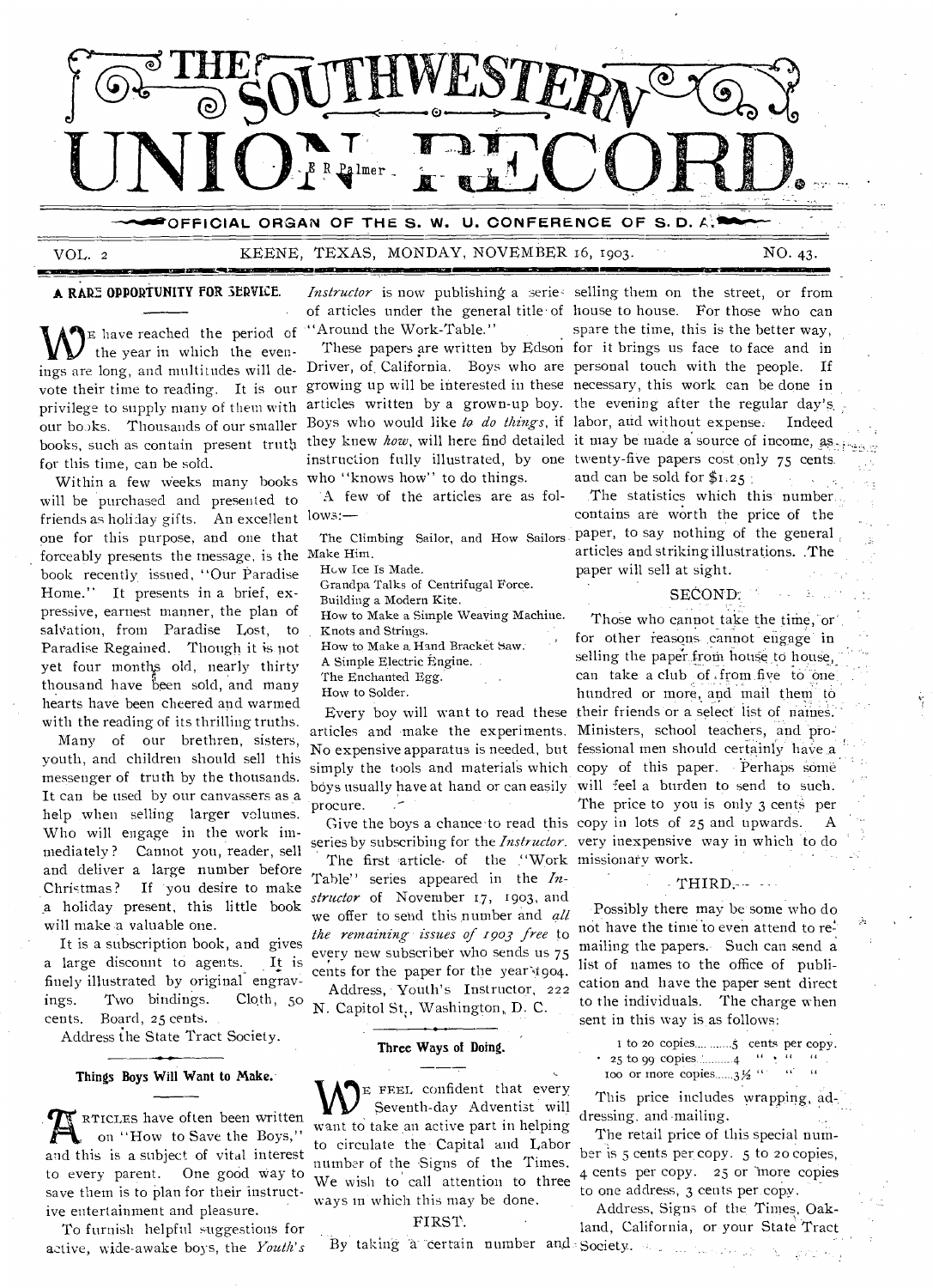

VOL. 2 KEENE, TEXAS, MONDAY, NOVEMBER 16, 1903. NO. 43.

**8211MINIt•IMIELISIEMONMIMMIN** 

E have reached the period of the year in which the evenings are long, and multitudes will devote their time to reading. It is our privilege to supply many of them with our books. Thousands of our smaller books, such as contain present truth for this time, can be sold.

 $\lim$  be perchased and presenced to  $\lim_{n \to \infty}$  friends as holiday gifts. An excellent  $\lim_{n \to \infty}$ Within a few weeks many hooks will be purchased and presented to one for this purpose, and one that forceably presents the message, is the Make Him. book recently issued, "Our Paradise Home." It presents in a brief, expressive, earnest manner, the plan of salvation, from Paradise Lost, to Paradise Regained. Though it is not yet four months old, nearly thirty thousand have been sold, and many hearts have been cheered and warmed with the reading of its thrilling truths.

Many of our brethren, sisters, youth, and children should sell this messenger of truth by the thousands. It can be used by our canvassers as a help .when selling larger volumes. Who will engage in the work immediately ? Cannot you, reader, sell and deliver a large number before Christmas? If you desire to make a holiday present, this little book will make a valuable one.

It is a subscription book, and gives a large discount to agents. It is finely illustrated by original engravings. Two bindings. Cloth, 50 cents. Board, 25 cents.

Address the State Tract Society.

#### **Things Boys Will Want to Make.**

**R** RTICLES have often been written on "How to Save the Boys," and this is a subject of vital interest to every parent. One good way to save them is to plan for their instructive entertainment and pleasure.

To furnish helpful suggestions for active, wide-awake boys, the *Youth's* 

of articles under the general title of house to house. For those who can "Around the Work-Table."

who "knows how" to do things.

A few of the articles are as fol-

How Ice Is Made.

Grandpa Talks of Centrifugal Force.

Building a Modern Kite.

- How to Make a Simple Weaving Machine.
- Knots and Strings.
- How to Make a Hand Bracket Saw:
- A Simple Electric Engine.
- The Enchanted Egg.
- How to Solder.

procure.

The first article of the "Work missionary work. Table" series appeared in the *In*structor of November 17, 1903, and we offer to send this number and *all the remaining issues of 1903 free to*  every new subscriber who sends us 75 cents for the paper for the year t904. Address, Youth's Instructor, 222

N. Capitol St., Washington, D. C.

# **Three Ways of Doing.**<br>————

**VV<sup>E</sup>**FEEL confident that every Seventh-day Adventist will want to take an active part in helping to circulate the Capital and Labor number of the Signs of the Times. We wish to call attention to three ways in which this may be done.

#### FIRST.

By taking a certain number and Society.

A RARE OPPORTUNITY FOR SERVICE. *Instructor* is now publishing a series selling them on the street, or from These papers are written by Edson for it brings **us** face to face and in Driver, of. California. Boys who are personal touch with the people. If growing up will be interested in these necessary, this work can be done **in**  articles written by a grown-up boy. the evening after the regular day's Boys who would like to do things, if labor, aud without expense. Indeed they knew *how*, will here find detailed it may be made a source of income, as... instruction fully illustrated, by one twenty-five papers cost only 75 cents spare the time, this is the better way, and can be sold for  $$1.25$ 

> The Climbing Sailor, and How Sailors paper, to say nothing of the general The statistics which this number contains are worth the price of the articles and striking illustrations. .The paper will sell at sight.

#### SECOND:

Every boy will want to read these their friends or a select list of names. articles and make the experiments. Ministers, school teachers, and pro-No expensive apparatus is needed, but fessional men should certainly have a simply the tools and materials which copy of this paper. Perhaps some boys usually have at hand or can easily will feel a burden to send to such. Give the boys a chance-to read this copy in lots of 25 and upwards. A series by subscribing for the *Instructor.*  very inexpensive way in which to do Those who cannot take the time, or' for other reasons cannot engage in selling the paper from house to house, can take a club of ,from five to one hundred or more, and mail them to The price to you is only 3 cents per

#### $-THIRD$ . $-$

Possibly there may be some who do not have the time to even attend to remailing the papers. Such can send a list of names to the office of publication and have the paper sent direct to the individuals. The charge when sent in this way is as follows:

1 to 20 copies.... ....... cents per copy.  $\cdot$  25 to 99 copies.  $4$  " Too or more copies  $3\frac{1}{2}$  " " "

This price includes wrapping, ad-. dressing. and mailing.

The retail price of this special number is 5 cents per copy. 5 to 20 copies, 4 cents per copy. 25 or more copies to one address, 3 cents per copy.

Address, Signs of the Times, Oakland, California, or your State Tract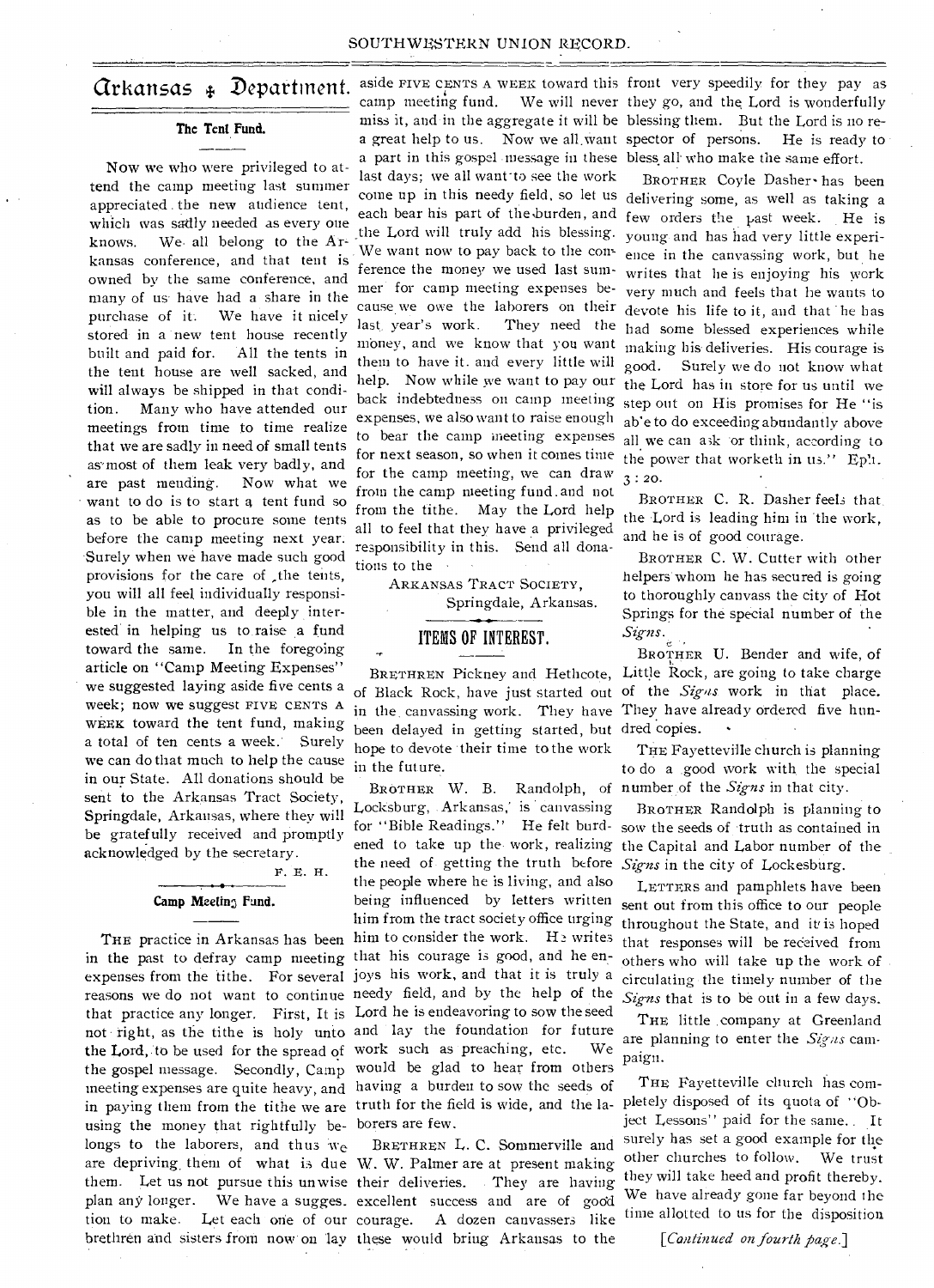#### SOUTHWESTERN UNION RECORD.

## Arkansas Department.

#### **The Tent Fund.**

Now we who were privileged to attend the camp meeting last summer appreciated . the new audience tent, which was sadly needed as every one knows. We. all belong to the Arkansas conference, and that tent is owned by the same conference, and many of us have had a share in the purchase of it. We have it nicely stored in a new tent house recently built and paid for. All the tents in the tent house are well sacked, and will always be shipped in that condition. Many who have attended our meetings from time to time realize that we are sadly in need of small tents as most of them leak very badly, and are past mending. Now what we want to do is to start a tent fund so as to be able to procure some tents before the camp meeting next year. Surely when we have made such good provisions for the care of \_the tents, you will all feel individually responsible in the matter, and deeply interested in helping us to raise a fund toward the same. In the foregoing article on "Camp Meeting Expenses" we suggested laying aside five cents a week; now we suggest FIVE CENTS A WEEK toward the tent fund, making a total of ten cents a week: Surely we can do that much to help the cause in our State. All donations should be sent to the Arkansas Tract Society, Springdale, Arkansas, where they will be gratefully received and promptly acknowledged by the secretary.

F. E. H.

# **Camp Meetin3 Fund.**

in the past to defray camp meeting that his courage is good, and he enexpenses from the tithe. For several joys his work, and that it is truly a reasons we do not want to continue needy field, and by the help of the that practice any longer. First, It is Lord he is endeavoring to sow the seed not • right, as the tithe is holy unto and lay the foundation for future **the Lord, to** be used for the spread of work such as preaching, etc. We **the gospel** message. Secondly, Camp would be glad to hear from others meeting expenses are quite heavy, and having a burden to sow the seeds of in paying them from the tithe we are truth for the field is wide, and the la- pletely disposed of its quota of "Obusing the money that rightfully be-borers are few. longs to the laborers, and thus we are depriving, them of what is due W. W. Palmer are at present making them. Let us not pursue this unwise their deliveries. They are having plan any longer. We have a sugges. excellent success and are of good tion to make. Let each one of our brethren and sisters from now on lay these would bring Arkansas to the

camp meeting fund. a part in this gospel message in these bless all' who make the same effort. last days; we all want-to see the work each bear his part of the burden, and the Lord will truly add his blessing. We want now to pay back to the con- ference the money we used last summer for camp meeting expenses because we owe the laborers on their last. year's work. They need the money, and we know that you want them to have it. and every little will help. Now while we want to pay our back indebtedness on camp meeting expenses, we also want to raise enough to bear the camp meeting expenses for next season, so when it comes time for the camp meeting, we can draw from the camp meeting fund. and not from the tithe. May the Lord help all to feel that they have a privileged responsibility in this. Send all donations to the

ARKANSAS TRACT SOCIETY, Springdale, Arkansas.

#### ITEMS OF INTEREST.

been delayed in getting started, but dred copies. • hope to devote their time to the work in the future.

THE practice in Arkansas has been him to consider the work. He writes BROTHER **W.** B. Randolph, of Locksburg, Arkansas, is canvassing for "Bible Readings." He felt burdthe need of getting the truth before *Signs* in the city of Lockesburg. the people where he is living, and also being influenced by letters written him from the tract society office urging

> BRETHREN L. C. Sommerville and A dozen canvassers like

aside FIVE CENTS A WEEK toward this front very speedily for they pay as miss it, and in the aggregate it will be blessing them. But the Lord is no rea great help to us. Now we all want spector of persons. He is ready to We will never they go, and the Lord is wonderfully

come up in this needy field, so let us delivering some, as well as taking a BROTHER Coyle Dasher• has been few orders the past week. He is young and has had very little experience in the canvassing work, but he writes that he is enjoying his work very much and feels that he wants to devote his life to it, and that 'he has had some blessed experiences while making his deliveries. His courage is good. Surely we do not know what the Lord has in store for us until we step out on His promises for He "is ah'e to do exceeding abundantly above all we can ask or think, according to the power that worketh in us." Eph.  $3:20.$ 

> BROTHER C. R. Dasher feels that. the Lord is leading him in 'the work, and he is of good courage.

BROTHER C. W. Cutter with other helpers whom he has secured is going to thoroughly canvass the city of Hot Springs for the special number of the *Signs.* 

BRETHREN Pickney and Hethcote, Little Rock, are going to take charge of Black Rock, have just started out of the *Sig-as* work in that place. in the canvassing work. They have They have already ordered five hun-*•* BROTHER **U.** Bender and wife, of

> THE Fayetteville church is planning to do a .good work with. the special number of the *Signs* in that city.

ened to take up the work, realizing the Capital and Labor number of the BROTHER Randolph is planning to sow the seeds of -truth as contained in

> LETTERS and pamphlets have been sent out from this office to our people throughout the State, and it is hoped that responses will be received from others who will take up the work of circulating • the timely number of the *Signs* that is to be out in a few days.

THE little company at Greenland are planning to enter the Signs campaign.

THE Fayetteville church has comject Lessons" paid for the same.. It surely has set a good example for the other churches to follow. We trust they will take heed and profit thereby. We have already gone far beyond the time allotted to us for the disposition

*[Continued on fourth page.]*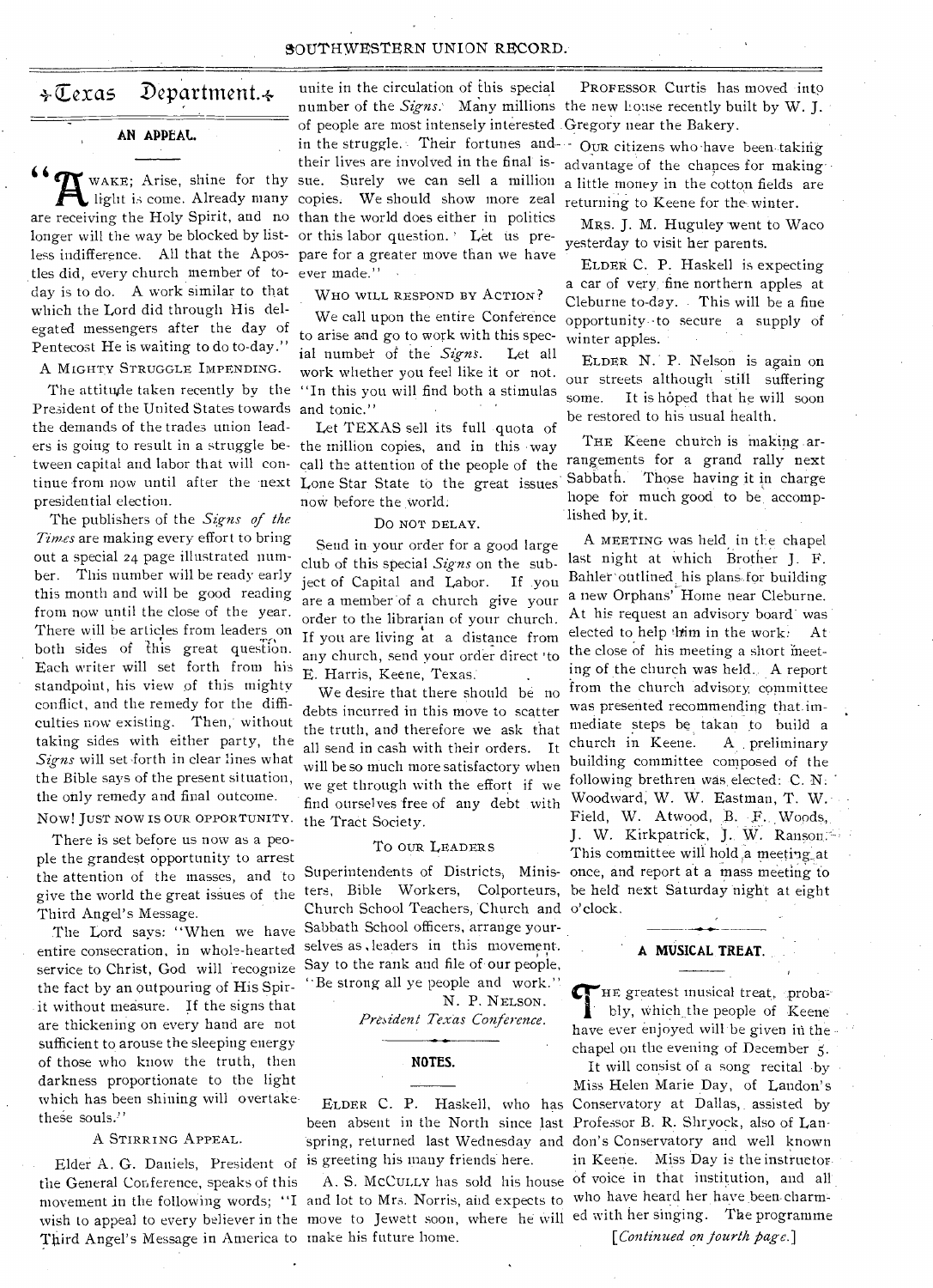#### SOUTHWESTERN UNION RECORD.

## $\div \overline{\mathbb{C}}$ exas Department. $\div$

#### **AN APPEAL.**

are receiving the Holy Spirit, and no than the world does either in politics  $\blacktriangledown$  WAKE; Arise, shine for thy light is come. Already many longer will the way be blocked by listless indifference. All that the Apostles did, every church member of today is to do. A work similar to that which the Lord did through His delegated messengers after the day of Pentecost He is waiting to do to-day."

A MIGHTY STRUGGLE IMPENDING.

President of the United States towards and tonic." the demands of the trades union leadpresidential election.

The publishers of the *Signs of the Times* are making every effort to bring out a special 24 page illustrated number. This number will be ready early this month and will be good reading from now until the close of the year. There will be articles from leaders on both sides of this great question. Each writer will set forth from his standpoint, his view of this mighty conflict, and the remedy for the difficulties now existing. Then,' without taking sides with either party, the Signs will set forth in clear lines what the Bible says of the present situation, the only remedy and final outcome.

Now! JUST NOW IS OUR OPPORTUNITY.

There is set before us now as a people the grandest opportunity to arrest the attention of the masses, and to give the world the great issues of the Third Angel's Message.

The Lord says: "When we have entire consecration, in whole-hearted service to Christ, God will 'recognize the fact by an outpouring of His Spirit without measure. If the signs that are thickening on every hand are not sufficient to arouse the sleeping energy of those who know the truth, then darkness proportionate to the light which has been shining will overtakethese souls."

#### A STIRRING APPEAL.

Elder A. G. Daniels, President of is greeting his many friends here. the General Conference, speaks of this movement in the following words; "I and lot to Mrs. Norris, and expects to Third Angel's Message in America to make his future home.

unite in the circulation of this special number of the *Signs*. Many millions the new Louse recently built by W. J. of people are most intensely interested . Gregory near the Bakery. in the struggle. Their fortunes and OUR citizens who have been taking their lives are involved in the final issue. Surely we can sell a million copies: We should show more zeal or this labor question. ' Let us prepare for a greater move than we have ever made."

WHO WILL RESPOND BY ACTION?

We call upon the entire Conference to arise and go to work with this special number of the *Signs.* Let all work whether you feel like it or not. The attitude taken recently by the "In this you will find both a stimulas

Let TEXAS sell its full -quota of ers is going to result in a struggle be- the million copies, and in this •way tween capital and labor that will con- call the attention of the people of the tinue from now until after the next Lone Star State to the great issues now before the world:

#### Do NOT DELAY.

Send in your order for a good large club of this special *Signs* on the subject of Capital and Labor. If .you are a member of a church give your order to the librarian of your church. If you are living at a distance from any church, send your order direct 'to E. Harris, Keene, Texas..

We desire that there should be no debts incurred in this move to scatter the truth, and therefore we ask that all send in cash with their orders. It will be so much more satisfactory when we get through with the effort if we find ourselves free of any debt with the Tract Society.

#### To OUR LEADERS

Superintendents of Districts, Ministers, Bible Workers, Colporteurs, Church School Teachers, Church and o'clock. Sabbath School officers, arrange yourselves as, leaders in this movement. Say to the rank and file of-our people, ''Be strong all ye people and work."

N. P. NELSON.

*President.Texas Conference.* 

#### **NOTES.**

been absent in the North since last Professor B. R. Shryock, also of Lanspring, returned last Wednesday and don's Conservatory and well known

wish to appeal to every believer in the move to Jewett soon, where he will ed with her singing. The programme

PROFESSOR Curtis has moved into

advantage of the chances for makinga little money in the cotton fields are returning to Keene for the winter.

MRS. J. M. Huguley went to Waco yesterday to visit her parents.

ELDER C. P. Haskell is expecting a car of very, fine northern apples at Cleburne to-day. - This will be a fine opportunity--to secure a supply of winter apples.

ELDER N.. P. Nelson is again on our streets although still suffering some. It is hoped that he will soon be restored to his usual health.

THE Keene church is making arrangements for a grand rally next Sabbath. Those having it in charge hope for much good to be accomplished by, it.

A MEETING was held in the chapel last night at which Brother J. F. Bahler outlined his plans for building a new Orphans' Home near Cleburne. At his request an advisory board' was elected to help thim in the work. At the close of his meeting a short meeting of the church was held.. A report from the church advisory committee was presented recommending that immediate steps be takan to build a church in Keene. A preliminary building committee composed of the following brethren was elected: C. N. Woodward, W. W. Eastman, T. W. Field, W. Atwood, B. F. Woods, J. W. Kirkpatrick, J. W. Ranson: This committee will hold,a meeting,at once, and report at a mass meeting to be held next Saturday night at eight

#### **A MUSICAL TREAT.**

 $\sigma$  HE greatest musical treat, probably, which the people of Keene have ever enjoyed will be given in the chapel on the evening of December *5.* 

ELDER C. P. Haskell, who has Conservatory at Dallas,. assisted by A. S. McCuLLY has sold his house of voice in that institution, and all It will consist of a song recital by Miss Helen Marie Day, of Landon's in Keene. Miss Day is the instructorwho have heard her have been-charm-

*[Continued on fourth page.]*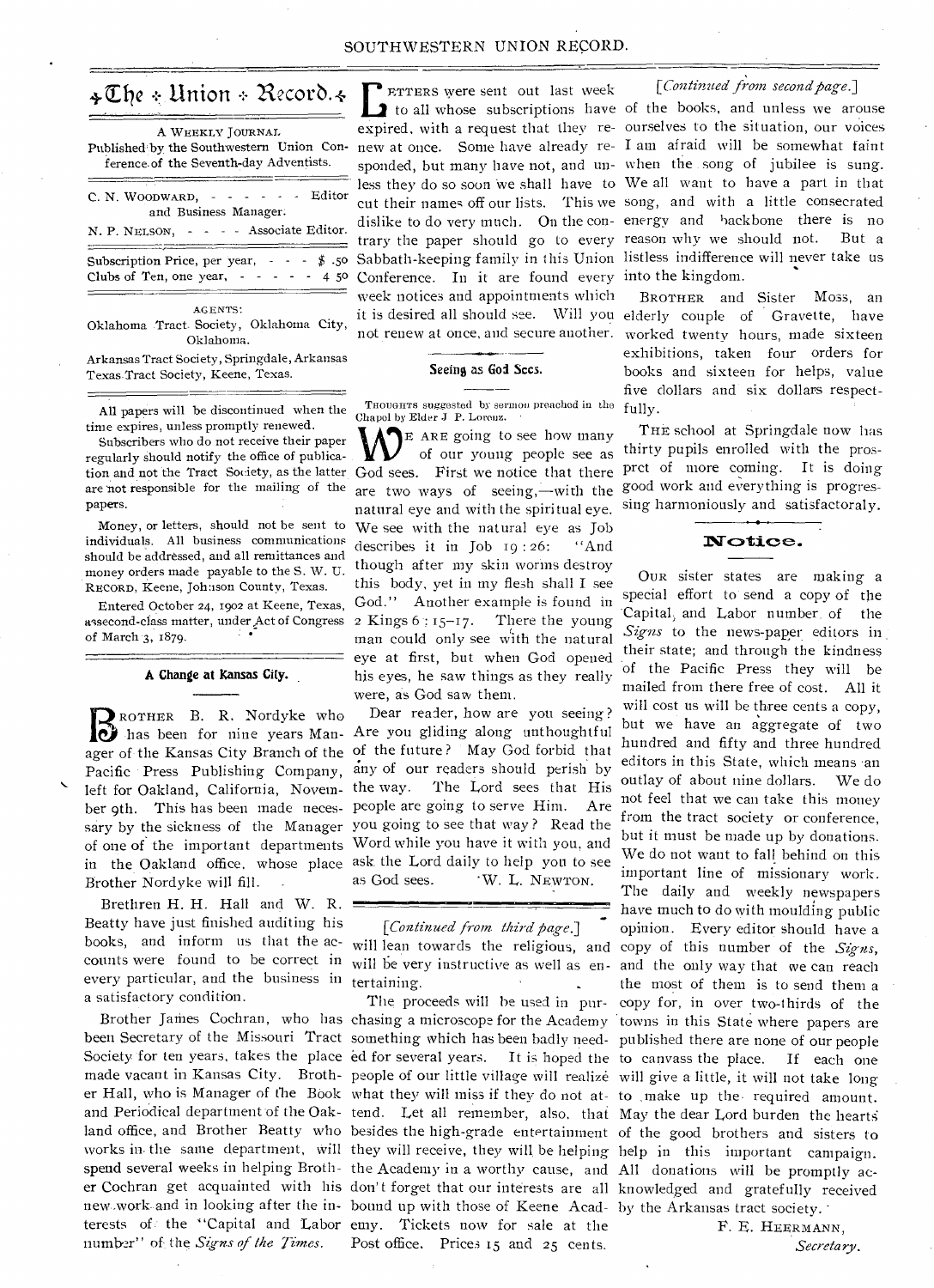# $\triangleleft$  The + Union + Record.  $\triangleleft$

| A WEEKLY JOURNAL<br>Published by the Southwestern Union Con-<br>ference of the Seventh-day Adventists.    |
|-----------------------------------------------------------------------------------------------------------|
| C. N. WOODWARD, $\cdot \cdot \cdot \cdot$ - Editor<br>and Business Manager.                               |
| N. P. NELSON, - - - - Associate Editor.                                                                   |
| Subscription Price, per year, $\cdot \cdot \cdot$ $\cdot$ \$.50<br>Clubs of Ten, one year, $- - - - 4$ 50 |
| AGENTS:                                                                                                   |

Oklahoma Tract Society, Oklahoma City, Oklahoma.

Arkansas Tract Society, Springdale, Arkansas Texas Tract Society, Keene, Texas.

All papers will be discontinued when the time expires, unless promptly renewed.

Subscribers who do not receive their paper regularly should notify the office of publicaare 'not responsible for the mailing of the papers.

Money, or letters, should not be sent to individuals. All business communications should be addressed, and all remittances and money orders made payable to the S. W. U. RECORD, Keene, Johnson County, Texas.

Entered October 24, 1902 at Keene, Texas, assecond-class matter, under Act of Congress of March 3, 1879.

#### **A Change at Kansas City.**

**DENOTHER B. R. Nordyke who**<br>
has been for nine years Man-ROTHER B. R. Nordyke who left for Oakland, California, Novem- the way. Brother Nordyke will fill. .

counts were found to be correct in will be very instructive as well as  $en$ every particular, and the business in tertaining. Brethren H. H. Hall and W. R. Beatty have just finished auditing his a satisfactory condition.

number" of the *Signs of the Times.* 

**FETTERS** were sent out last week [*Continued from second page.*]<br>
to all whose subscriptions have of the books, and unless we arouse **EXTERS** were sent out last week Conference. In it are found every into the kingdom. week notices and appointments which

#### Seeing as God Sces.

THOUGHTS suggested by sermon preached in the Chapel by Elder J P. Lorenz.

tion and not the Tract Society, as the latter God sees. First we notice that there E ARE going to see how many of our young people see as are two ways of seeing,—with the natural eye and with the spiritual eye. We see with the natural eye as Job describes it in Job 19 : 26: "And though after my skin worms destroy this body, yet in my flesh shall I see God." Another example is found in 2 Kings  $6:15-17$ . There the young man could only see with the natural eye at first, but when God opened his eyes, he saw things as they really were, as God saw them.

Dear reader, how are you seeing ? Are you gliding along unthoughtful ager of the Kansas City Branch of the of the future? May God forbid that Pacific Press Publishing Company, any of our readers should perish by The Lord sees that His ber 9th. This has been made neces- people are going to serve Him. Are sary by the sickness of the Manager you going to see that way? Read the of one of the important departments Word while you have it with you, and in the Oakland office, whose place ask the Lord daily to help you to see as God sees. 'W. L. NEWTON.

*[Continued from third page.]* 

spend several weeks in helping Broth- the Academy in a worthy cause, and All donations will be promptly acer Cochran get acquainted with his don't forget that our interests are all knowledged and gratefully received new work and in looking after the in- bound up with those of Keene Acad- by the Arkansas tract society. terests of the "Capital and Labor emy. Tickets now for sale at the Post office. Prices 15 and 25 cents.

## *[Continued from second page.]*

expired, with a request that they re-ourselves to the situation, our voices new at once. Some have already re-I am afraid will be somewhat faint sponded, but many have not, and un-when the song of jubilee is sung. less they do so soon 'we shall have to We all want to have a part in that cut their names off our lists. This we song, and with a little consecrated dislike to do very much. On the con-energy and backbone there is no trary the paper should go to every reason why we should not. But a Sabbath-keeping family in this Union listless indifference will never take us

it is desired all should see. Will you elderly couple of Gravette, have not renew at once, and secure another. worked twenty hours, made sixteen BROTHER and Sister Moss, an exhibitions, taken four orders for books and sixteen for helps, value five dollars and six dollars respectfully.

> THE school at Springdale now has thirty pupils enrolled with the prosprct of more coming. It is doing good work and everything is progressing harmoniously and satisfactoraly.

## $\mathbf{Notice.}$

books, and inform us that the ac- will lean towards the religious, and copy of this number of the *Signs*, The proceeds will be used in pur-copy for, in over two-thirds of the Brother James Cochran, who has chasing a microscope for the Academy towns in this State where papers are been Secretary of the Missouri Tract something which has been badly need- published there are none of our people Society for ten years, takes the place ed for several years. It is hoped the to canvass the place. If each one made vacant in Kansas City. Broth- people of our little village will realize will give a little, it will not take long er Hall, who is Manager of the Book what they will miss if they do not at- to make up the required amount. and Periodical department of the Oak- tend. Let all remember, also, that May the dear Lord burden the hearts land office, and Brother Beatty who besides the high-grade entertainment of the good brothers and sisters to works in the same department, will they will receive, they will be helping help in this important campaign. OUR sister states are making a special effort to send a copy of the -Capital, and Labor number of the *Signs* to the news-paper editors in their state; and through the kindness of the Pacific Press they will be mailed from there free of cost. All it will cost us will be three cents a copy, but we have an aggregate of two hundred and fifty and three hundred editors in this State, which means 'an outlay of about nine dollars. We do not feel that we can take this money from the tract society or conference, but it must be made up by donations. We do not want to fall behind on this important line of missionary work. The daily and weekly newspapers have much to do with moulding public opinion. Every editor should have a and the only way that we can reach the most of them is to send them a

> F. E. HEERMANN, *Secretary.*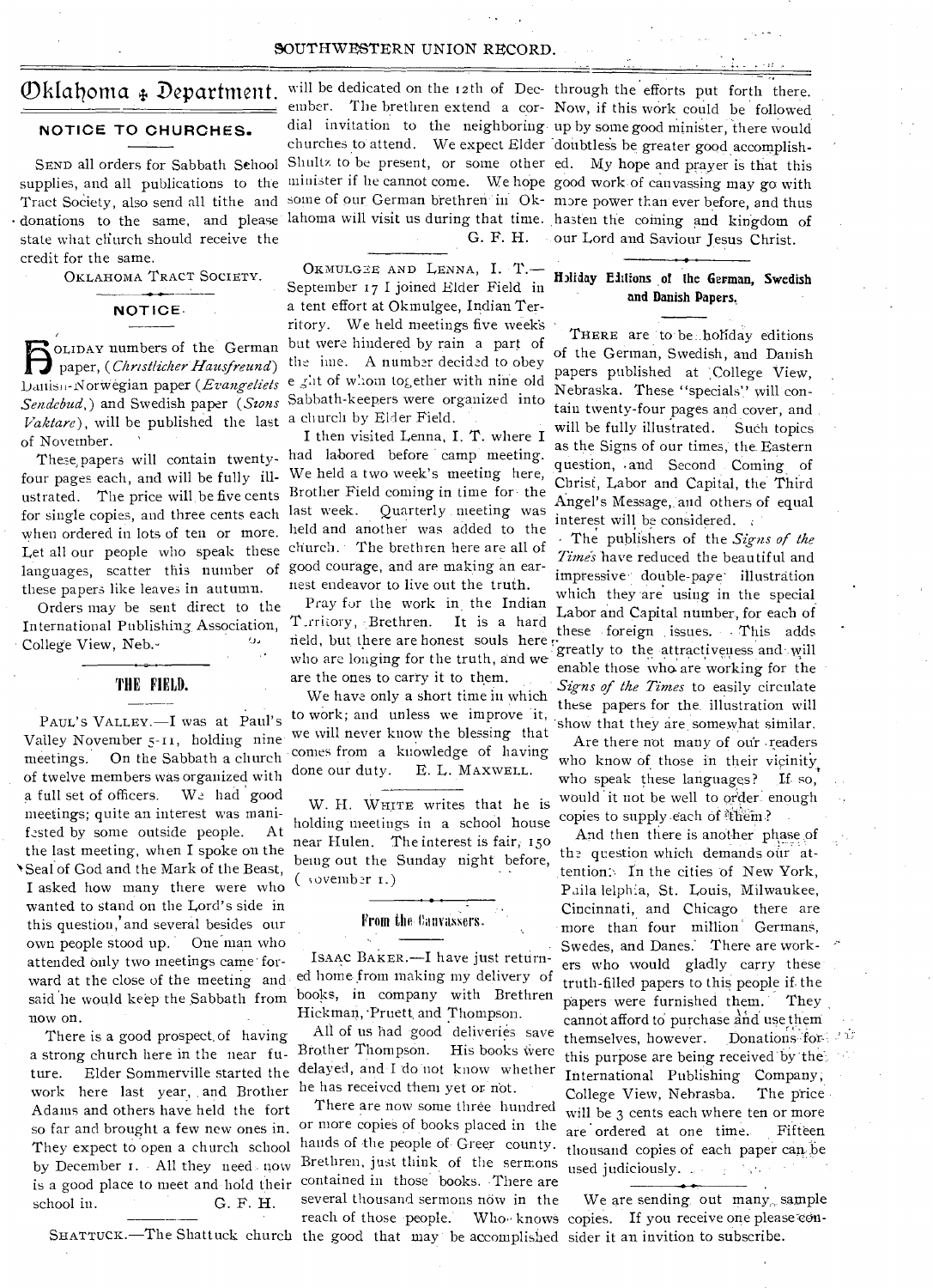#### SOUTHWESTERN UNION RECORD.

#### **NOTICE TO CHURCHES.**

Tract Society, also send all tithe and donations to the same, and please state what church should receive the credit for the same.

OKLAHOMA TRACT SOCIETY.

**NOTICE•** 

Vaktare), will be published the last a church by Elder Field. paper, *(Christlicher Hausfreund)*<br>
buting Normeon paper *(Eugenselists*) 0LIDAy numbers of the German *DanisJi-SorWegian* paper *(Erangeliels Sendebud,)* and Swedish paper *(Szons*  of November.

four pages each, and will be fully illustrated. The price will be five cents for single copies, and three cents each when ordered in lots of ten or more. Let all our people who speak these languages, scatter this number of these papers like leaves in autumn.

Orders may be sent direct to the International Publishing Association, College View, Neb.-

## $\overline{\phantom{a}}$ **THE FIELD.**

PAUL'S VALLEY.—I was at Paul's Valley November 5-it, holding nine meetings. On the Sabbath a church of twelve members was organized with a full set of officers. We had good meetings; quite an interest was manifested by some outside people. At the last meeting, when I spoke on the 'Seal of God and the Mark of the Beast, I asked how many there were who wanted to stand on the Lord's side in this question, and several besides our own people stood up. One man who attended only two meetings came' forward at the close of the meeting and said he would keep the Sabbath from now on.

There is a good prospect, of having a strong church here in the near future. Elder Sommerville started the work here last year, . and Brother Adams and others have held the fort so far and brought a few new ones in. They expect to open a church school by December 1. All they need now is a good place to meet and hold their school in. G. F. H.

SEND all orders for Sabbath School Shultz to be present, or some other ed. My hope and prayer is that this supplies, and all publications to the <sup>minister</sup> if he cannot come. We hope good work of canvassing may go with ember. The brethren extend a cor- Now, if this work could be followed dial invitation to the neighboring up by some good minister, there would churches to attend. We expect Elder doubtless be greater good accomplishsome of our German brethren in Ok- more power than ever before, and thus lahoma will visit us during that time. hasten the coming and kingdom of G. F. H.

> OKMULGEE AND LENNA, I. T.-September 17 I joined Elder Field in a tent effort at Okmulgee, Indian Territory. We held meetings five week's bat were hindered by rain a part of the ime. A number decided to obey e ght of whom together with nine old Sabbath-keepers were organized into

I then visited Lenna, I. T. where I These, papers will contain twenty- had labored before camp meeting. We held a two week's meeting here, Brother Field coming in time for the last week. Quarterly meeting was held and another was added to the church. • The brethren here are all of good courage, and are making an earnest endeavor to live out the truth.

> Pray for the work in the Indian T\_rritory, Brethren. It is a hard field, but there are honest souls here who are longing for the truth, and we. are the ones to carry it to them.

> We have only a short time in which to work; and unless we improve it, we will never know the blessing that comes from a knowledge of having done our duty. E. L. MAXWELL.

> W. H. WHITE writes that he is holding meetings in a school house near Hulen. The interest is fair; 150 being out the Sunday night before,  $($  sovember  $I$ .)

#### From the Canvassers.

ISAAC BAKER.—I have just returned home from making my delivery of books, in company with Brethren Hickman, Pruett and Thompson.

All of us had good deliveries save Brother Thompson. His books were delaYed, and I do not know whether he has received them yet or not.

Brethren, just think of the sermons used judiciously. contained in those books. There are several thousand sermons now in the We are sending out many, sample reach of those people. Who knows copies. If you receive one please con-

 $\mathcal{O}$ klahoma  $\ast$  Department. will be dedicated on the 12th of Dec-through the efforts put forth there. our Lord and Saviour Jesus Christ.

## **fhliday** Ellison , of **the German, Swedish and Danish Papers.**

THERE are to be ..holiday editions of the German, Swedish, and Danish papers published at College View, Nebraska. These "specials" will contain twenty-four pages and cover, and will be fully illustrated. Such topics as the Signs of our times, the. Eastern question, .and Second Coming of Christ, Labor and Capital, the Third Angel's Message, and others of equal interest will be considered.

The publishers of the *Signs of the*  Times have reduced the beautiful and impressive double-page illustration which they are using in the special Labor and Capital number, for each of these foreign issues. This adds greatly to the attractiveness and will enable those who. are working for the *Signs of the Times* to easily circulate these papers for the illustration will show that they are somewhat similar.

Are there not many of our 'readers who know of those in their vicinity who speak these languages? If so, would 'it not be well to order enough copies to supply each of <sup>#them?</sup>

And then there is another phase of the question which demands our attention: In the cities of New York, Paila lelphia, St. Louis, Milwaukee, Cincinnati, and Chicago there are more than four million Germans, Swedes, and Danes.' There are workers who would gladly carry these truth-filled papers to this people if. the papers were furnished them. They cannot afford to purchase and use them themselves, however. Donations: for... this purpose are being received by the. International Publishing Company, College View, Nebrasba. There are now some three hundred will be  $3$  cents each where ten or more nore copies of books placed in the  $2r$  ordered at one time. Fifteen or more copies of books placed in the are ordered at one time. Fifteen hands of the people of Greer county. thousand copies of each paper can be

SHATTUCK.—The Shattuck church the good that may be accomplished sider it an invition to subscribe.